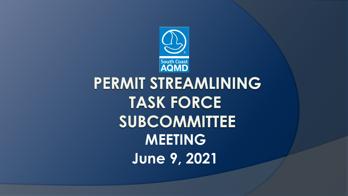

# PERMIT STREAMLINING **TASK FORCE SUBCOMMITTEE MEETING June 9, 2021**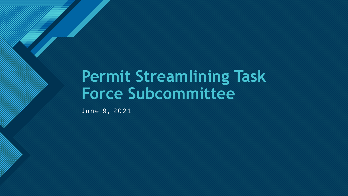## **Permit Streamlining Task Force Subcommittee**

June 9, 2021

**Click to edit Master title style**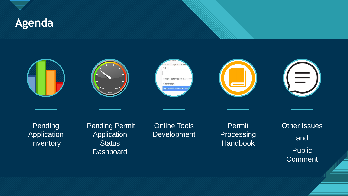

### Rule 222 Application Select Boiler/Heaters & Process Hea Charbroilers

Pending Application **Inventory** 

Pending Permit **Application Status Dashboard** 

Online Tools Development

gative Air Machines

Permit Processing Handbook

Other Issues and **Public Comment** 

 $\equiv$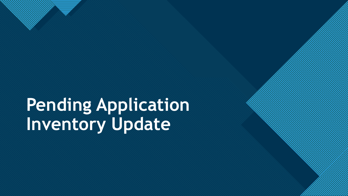# **Pending Application Inventory Update**

4

**Click to edit Master the State of the State of the State of the State of the State of the State of the State of the State of the State of the State of the State of the State of the State of the State of the State of the S**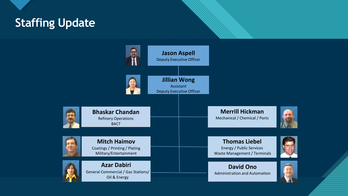

## **Click to Edit Mass Staffing Update**

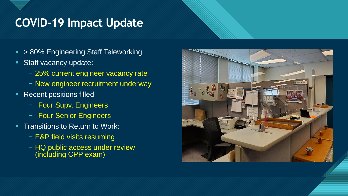## **COVID-19 Impact Update**

- > 80% Engineering Staff Teleworking
- **Staff vacancy update:** 
	- − 25% current engineer vacancy rate
	- − New engineer recruitment underway
- **Recent positions filled** 
	- − Four Supv. Engineers
	- − Four Senior Engineers
- **Transitions to Return to Work:** 
	- − E&P field visits resuming
	- − HQ public access under review (including CPP exam)

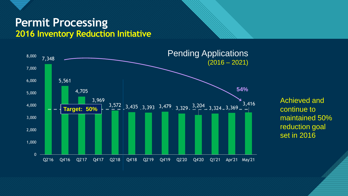

## **Permit Processing 2016 Inventory Reduction Initiative**



Achieved and continue to maintained 50% reduction goal set in 2016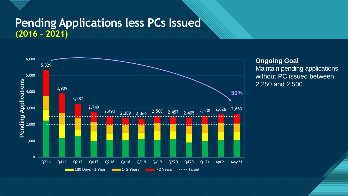## **Pending Applications less PCs Issued (2016 – 2021)**



#### **Ongoing Goal**

Maintain pending applications without PC issued between 2,250 and 2,500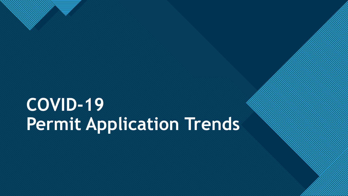# **COVID-19 Permit Application Trends**

9

**Click to edit Master the State of the State of the State of the State of the State of the State of the State of the State of the State of the State of the State of the State of the State of the State of the State of the S**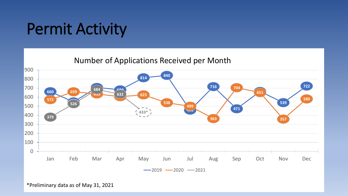## Permit Activity

Number of Applications Received per Month



<sup>\*</sup>Preliminary data as of May 31, 2021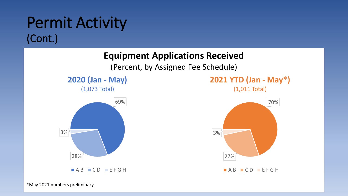## Permit Activity (Cont.)

## **Equipment Applications Received**

(Percent, by Assigned Fee Schedule)









**AB CD EFGH** 

\*May 2021 numbers preliminary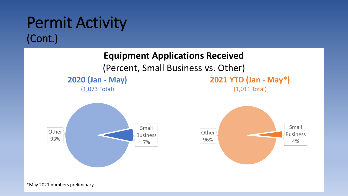

\*May 2021 numbers preliminary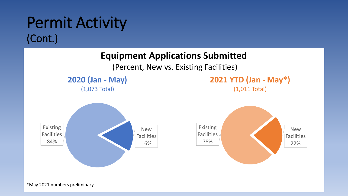## Permit Activity (Cont.)

## **Equipment Applications Submitted**



**2020 (Jan - May)**

(1,073 Total)







\*May 2021 numbers preliminary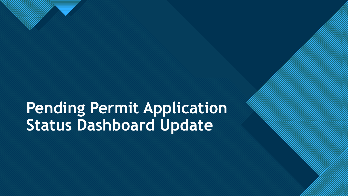## **Pending Permit Application Status Dashboard Update**

14

**Click to edit Master the State of the State of the State of the State of the State of the State of the State of the State of the State of the State of the State of the State of the State of the State of the State of the S**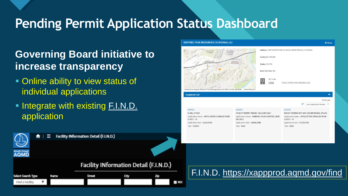## **Pending Permit Application Status Dashboard**

- 533

## **Governing Board initiative to increase transparency**

- Online ability to view status of individual applications
- **. Integrate with existing [F.I.N.D.](https://xappprod.aqmd.gov/find)** application



| Institute<br>Monte bello<br>fown Center<br>638 ff                                                      | Facility ID: 184288<br>Nete 4<br>Status: ACTIVE<br>Back Fees Due: No.<br>SIC Code<br>E |                                                                |  |
|--------------------------------------------------------------------------------------------------------|----------------------------------------------------------------------------------------|----------------------------------------------------------------|--|
|                                                                                                        |                                                                                        |                                                                |  |
|                                                                                                        |                                                                                        |                                                                |  |
|                                                                                                        |                                                                                        |                                                                |  |
| Merced<br>County of Los Angeles, Bureau of Land Management, Esri, HERE, Garmin, INCREM Powered by Esri | 1311<br>n                                                                              | CRUDE PETRO AND NATURAL GAS                                    |  |
| <b>Equipment List</b>                                                                                  |                                                                                        | ㅅ                                                              |  |
|                                                                                                        |                                                                                        | 30 Results                                                     |  |
|                                                                                                        |                                                                                        | 拒<br>Sort: Application Number                                  |  |
| 609423                                                                                                 | 602853                                                                                 | 602159                                                         |  |
| <b>FLARE, OTHER</b>                                                                                    | FACILITY PERMIT AMEND- RECLAIM ONLY                                                    | MICRO-TURBINE NOT NAT GAS, METHANOL OR LPG                     |  |
| Application Status : APPLICATION CHANGED FROM<br>$CIASSI - III$                                        | Application Status : BANKING/ PLAN GRANTED, NON<br><b>BILLABLE</b>                     | Application Status: APPLICATION CHANGED FROM<br>$C ASSI - III$ |  |
| Application Date: 12/26/2018                                                                           | Application Date: 04/06/2018                                                           | Application Date: 03/27/2018                                   |  |
| Type: Control                                                                                          | Type: Basic                                                                            | Type: Basic                                                    |  |
|                                                                                                        |                                                                                        |                                                                |  |
|                                                                                                        |                                                                                        |                                                                |  |
|                                                                                                        |                                                                                        |                                                                |  |
|                                                                                                        |                                                                                        |                                                                |  |
|                                                                                                        |                                                                                        |                                                                |  |
|                                                                                                        |                                                                                        |                                                                |  |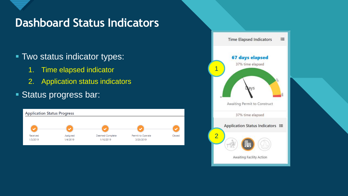## **Dashboard Status Indicators**

- Two status indicator types:
	- 1. Time elapsed indicator
	- 2. Application status indicators
- **Status progress bar:**



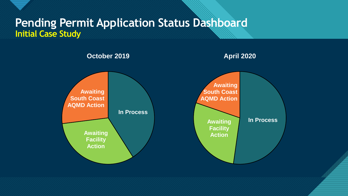## **Pending Permit Application Status Dashboard Initial Case Study**

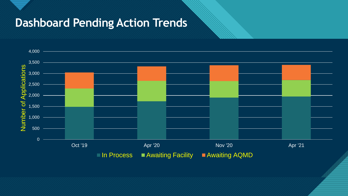## **Dashboard Pending Action Trends**

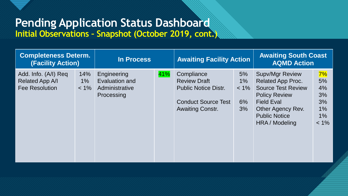## **Pending Application Status Dashboard Initial Observations – Snapshot (October 2019, cont.)**

|                                                           | <b>Completeness Determ.</b><br><b>(Facility Action)</b> |                                                               | <b>In Process</b> |                                                                                                                           | <b>Awaiting Facility Action</b>    |                                                                                                                                                                                             | <b>Awaiting South Coast</b><br><b>AQMD Action</b>    |  |
|-----------------------------------------------------------|---------------------------------------------------------|---------------------------------------------------------------|-------------------|---------------------------------------------------------------------------------------------------------------------------|------------------------------------|---------------------------------------------------------------------------------------------------------------------------------------------------------------------------------------------|------------------------------------------------------|--|
| Add. Info. (A/I) Req<br>Related App A/I<br>Fee Resolution | 14%<br>$1\%$<br>$< 1\%$                                 | Engineering<br>Evaluation and<br>Administrative<br>Processing | 41%               | Compliance<br><b>Review Draft</b><br><b>Public Notice Distr.</b><br><b>Conduct Source Test</b><br><b>Awaiting Constr.</b> | 5%<br>$1\%$<br>$< 1\%$<br>6%<br>3% | <b>Supv/Mgr Review</b><br><b>Related App Proc.</b><br><b>Source Test Review</b><br><b>Policy Review</b><br><b>Field Eval</b><br>Other Agency Rev.<br><b>Public Notice</b><br>HRA / Modeling | 7%<br>5%<br>4%<br>3%<br>3%<br>1%<br>$1\%$<br>$< 1\%$ |  |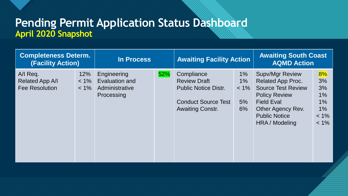## **Pending Permit Application Status Dashboard April 2020 Snapshot**

| <b>Completeness Determ.</b><br><b>(Facility Action)</b> |                           | In Process                                                    |     | <b>Awaiting Facility Action</b>                                                                                           |                                 | <b>Awaiting South Coast</b><br><b>AQMD Action</b>                                                                                                                                           |                                                              |
|---------------------------------------------------------|---------------------------|---------------------------------------------------------------|-----|---------------------------------------------------------------------------------------------------------------------------|---------------------------------|---------------------------------------------------------------------------------------------------------------------------------------------------------------------------------------------|--------------------------------------------------------------|
| A/I Req.<br>Related App A/I<br><b>Fee Resolution</b>    | 12%<br>$< 1\%$<br>$< 1\%$ | Engineering<br>Evaluation and<br>Administrative<br>Processing | 52% | Compliance<br><b>Review Draft</b><br><b>Public Notice Distr.</b><br><b>Conduct Source Test</b><br><b>Awaiting Constr.</b> | 1%<br>1%<br>$< 1\%$<br>5%<br>6% | <b>Supv/Mgr Review</b><br><b>Related App Proc.</b><br><b>Source Test Review</b><br><b>Policy Review</b><br><b>Field Eval</b><br>Other Agency Rev.<br><b>Public Notice</b><br>HRA / Modeling | 8%<br>3%<br>3%<br>1%<br>$1\%$<br>$1\%$<br>$< 1\%$<br>$< 1\%$ |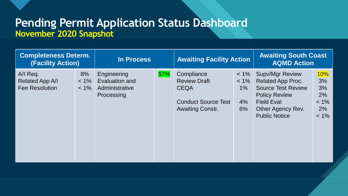## **Pending Permit Application Status Dashboard November 2020 Snapshot**

| <b>Completeness Determ.</b><br><b>(Facility Action)</b> |                          | In Process                                                    |     | <b>Awaiting Facility Action</b>                                                                           |                                            | <b>Awaiting South Coast</b><br><b>AQMD Action</b>                                                                                                                         |                                                                |
|---------------------------------------------------------|--------------------------|---------------------------------------------------------------|-----|-----------------------------------------------------------------------------------------------------------|--------------------------------------------|---------------------------------------------------------------------------------------------------------------------------------------------------------------------------|----------------------------------------------------------------|
| A/I Req.<br>Related App A/I<br><b>Fee Resolution</b>    | 8%<br>$< 1\%$<br>$< 1\%$ | Engineering<br>Evaluation and<br>Administrative<br>Processing | 57% | Compliance<br><b>Review Draft</b><br><b>CEQA</b><br><b>Conduct Source Test</b><br><b>Awaiting Constr.</b> | $< 1\%$<br>$< 1\%$<br>$1\%$<br>$4\%$<br>6% | <b>Supv/Mgr Review</b><br><b>Related App Proc.</b><br><b>Source Test Review</b><br><b>Policy Review</b><br><b>Field Eval</b><br>Other Agency Rev.<br><b>Public Notice</b> | <b>10%</b><br>3%<br>3%<br>$2\%$<br>$< 1\%$<br>$2\%$<br>$< 1\%$ |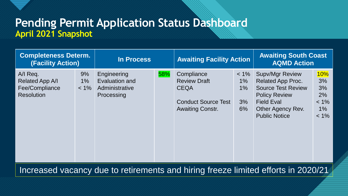## **Pending Permit Application Status Dashboard April 2021 Snapshot**

| <b>Completeness Determ.</b><br><b>(Facility Action)</b>            |                        | In Process                                                    |     | <b>Awaiting Facility Action</b>                                                                           |                                       | <b>Awaiting South Coast</b><br><b>AQMD Action</b>                                                                                                                         |                                                             |
|--------------------------------------------------------------------|------------------------|---------------------------------------------------------------|-----|-----------------------------------------------------------------------------------------------------------|---------------------------------------|---------------------------------------------------------------------------------------------------------------------------------------------------------------------------|-------------------------------------------------------------|
| A/I Req.<br>Related App A/I<br>Fee/Compliance<br><b>Resolution</b> | 9%<br>$1\%$<br>$< 1\%$ | Engineering<br>Evaluation and<br>Administrative<br>Processing | 58% | Compliance<br><b>Review Draft</b><br><b>CEQA</b><br><b>Conduct Source Test</b><br><b>Awaiting Constr.</b> | $< 1\%$<br>$1\%$<br>$1\%$<br>3%<br>6% | <b>Supv/Mgr Review</b><br><b>Related App Proc.</b><br><b>Source Test Review</b><br><b>Policy Review</b><br><b>Field Eval</b><br>Other Agency Rev.<br><b>Public Notice</b> | <b>10%</b><br>3%<br>3%<br>2%<br>$< 1\%$<br>$1\%$<br>$< 1\%$ |

Increased vacancy due to retirements and hiring freeze limited efforts in 2020/21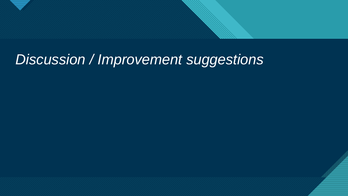

## *Discussion / Improvement suggestions*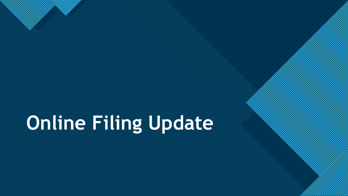# **Online Filing Update**

24

**Click to edit Master the State of the State of the State of the State of the State of the State of the State of the State of the State of the State of the State of the State of the State of the State of the State of the S**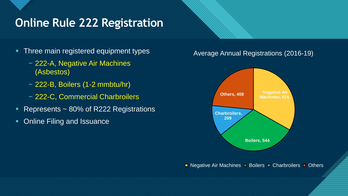## **Chine Rule 222 Registration**

- Three main registered equipment types
	- − 222-A, Negative Air Machines (Asbestos)
	- − 222-B, Boilers (1-2 mmbtu/hr)
	- − 222-C, Commercial Charbroilers
- **Represents ~ 80% of R222 Registrations**
- Online Filing and Issuance

#### Average Annual Registrations (2016-19)



**Negative Air Machines D Boilers D Charbroilers D Others**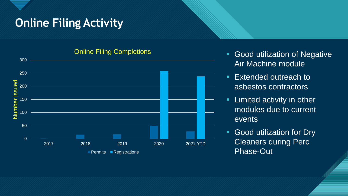## **Chick Filing Activity**



#### Online Filing Completions

- **Good utilization of Negative** Air Machine module
- Extended outreach to asbestos contractors
- **EXEC** activity in other modules due to current events
- **EXECO GOOD UTILE SHOULER** FOR UP UP 19 Cleaners during Perc Phase-Out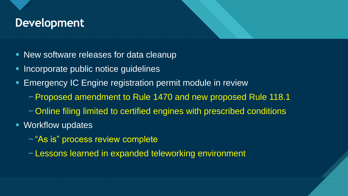## **Development**

- New software releases for data cleanup
- Incorporate public notice guidelines
- Emergency IC Engine registration permit module in review
	- −Proposed amendment to Rule 1470 and new proposed Rule 118.1
	- − Online filing limited to certified engines with prescribed conditions
- Workflow updates
	- − "As is" process review complete
	- − Lessons learned in expanded teleworking environment

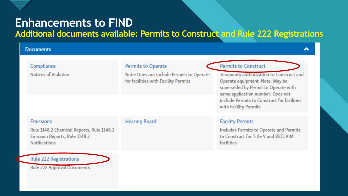## **Enhancements to FIND**

#### **Additional documents available: Permits to Construct and Rule 222 Registrations**

#### **Documents**

| Compliance                                                                                                             | <b>Permits to Operate</b>                                                         | <b>Permits to Construct</b>                                                                                                                              |
|------------------------------------------------------------------------------------------------------------------------|-----------------------------------------------------------------------------------|----------------------------------------------------------------------------------------------------------------------------------------------------------|
| Notices of Violation                                                                                                   | Note: Does not include Permits to Operate<br>for facilities with Facility Permits | Temporary authorization to Construct and<br>Operate equipment. Note: May be<br>superseded by Permit to Operate with<br>same application number; Does not |
|                                                                                                                        |                                                                                   | include Permits to Construct for facilities<br>with Facility Permits                                                                                     |
| <b>Emissions</b><br>Rule 1148.2 Chemical Reports, Rule 1148.2<br>Emission Reports, Rule 1148.2<br><b>Notifications</b> | <b>Hearing Board</b>                                                              | <b>Facility Permits</b><br>Includes Permits to Operate and Permits<br>to Construct for Title V and RECLAIM<br>facilities                                 |
| <b>Rule 222 Registrations</b>                                                                                          |                                                                                   |                                                                                                                                                          |

**Rule 222 Approval Documents**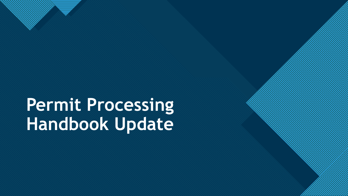# **Permit Processing Handbook Update**

7

**Click to edit Master the State of the State of the State of the State of the State of the State of the State of the State of the State of the State of the State of the State of the State of the State of the State of the S**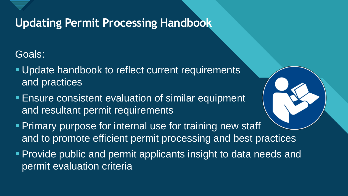

## **Updating Permit Processing Handbook**

## Goals:

- **Update handbook to reflect current requirements** and practices
- **Ensure consistent evaluation of similar equipment** and resultant permit requirements
- **Primary purpose for internal use for training new staff** and to promote efficient permit processing and best practices
- **Provide public and permit applicants insight to data needs and** permit evaluation criteria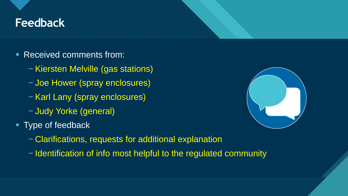## **Click to edit Master title style Feedback**

- Received comments from:
	- −Kiersten Melville (gas stations)
	- − Joe Hower (spray enclosures)
	- −Karl Lany (spray enclosures)
	- − Judy Yorke (general)
- Type of feedback
	- − Clarifications, requests for additional explanation
	- − Identification of info most helpful to the regulated community

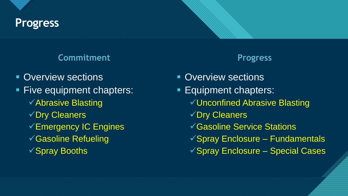

## Progress **Master title style style style style style style style style style style style style style style**

#### **Commitment Progress**

- **Overview sections**
- Five equipment chapters:
	- ✓Abrasive Blasting
	- ✓Dry Cleaners
	- ✓Emergency IC Engines
	- ✓Gasoline Refueling
	- ✓Spray Booths

- **Overview sections Equipment chapters:** ✓Unconfined Abrasive Blasting
	- ✓Dry Cleaners
	- ✓Gasoline Service Stations
	- ✓Spray Enclosure Fundamentals
	- ✓Spray Enclosure Special Cases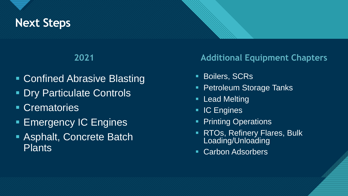## **Click to edit Master title style Next Steps**

- Confined Abrasive Blasting
- **Dry Particulate Controls**
- **Crematories**
- **Emergency IC Engines**
- Asphalt, Concrete Batch **Plants**

### **2021 Additional Equipment Chapters**

- **Boilers, SCRs**
- **Petroleum Storage Tanks**
- **E** Lead Melting
- **IC Engines**
- **Printing Operations**
- RTOs, Refinery Flares, Bulk Loading/Unloading

33

**Carbon Adsorbers**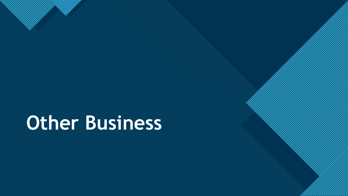# **Other Business**

7

**Click to edit Master the State of the State of the State of the State of the State of the State of the State of the State of the State of the State of the State of the State of the State of the State of the State of the S**